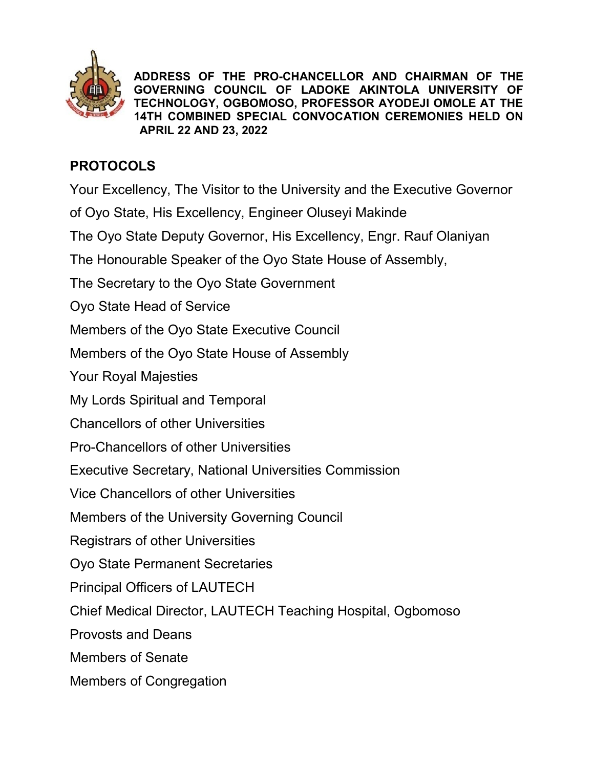

ADDRESS OF THE PRO-CHANCELLOR AND CHAIRMAN OF THE GOVERNING COUNCIL OF LADOKE AKINTOLA UNIVERSITY OF TECHNOLOGY, OGBOMOSO, PROFESSOR AYODEJI OMOLE AT THE 14TH COMBINED SPECIAL CONVOCATION CEREMONIES HELD ON APRIL 22 AND 23, 2022

## PROTOCOLS

Your Excellency, The Visitor to the University and the Executive Governor

of Oyo State, His Excellency, Engineer Oluseyi Makinde

The Oyo State Deputy Governor, His Excellency, Engr. Rauf Olaniyan

The Honourable Speaker of the Oyo State House of Assembly,

The Secretary to the Oyo State Government

Oyo State Head of Service

Members of the Oyo State Executive Council

Members of the Oyo State House of Assembly

Your Royal Majesties

My Lords Spiritual and Temporal

Chancellors of other Universities

Pro-Chancellors of other Universities

Executive Secretary, National Universities Commission

Vice Chancellors of other Universities

Members of the University Governing Council

Registrars of other Universities

Oyo State Permanent Secretaries

Principal Officers of LAUTECH

Chief Medical Director, LAUTECH Teaching Hospital, Ogbomoso

Provosts and Deans

Members of Senate

Members of Congregation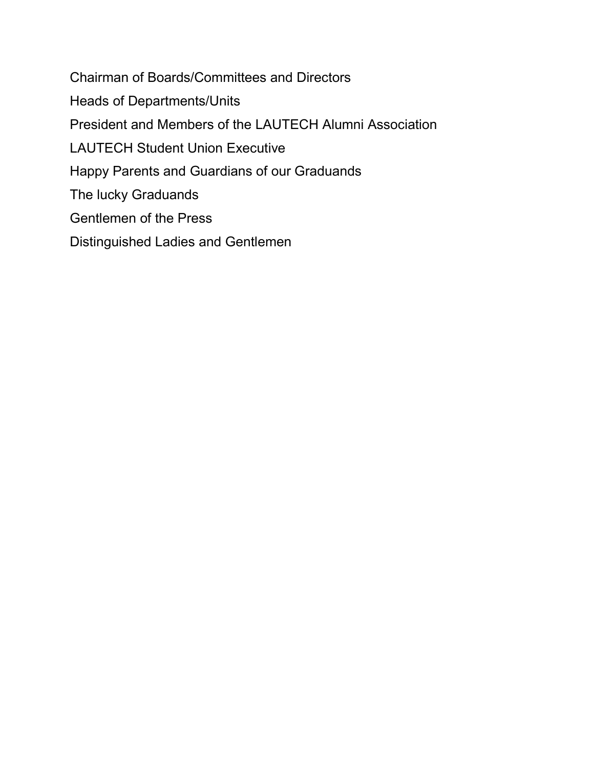Chairman of Boards/Committees and Directors Heads of Departments/Units President and Members of the LAUTECH Alumni Association LAUTECH Student Union Executive Happy Parents and Guardians of our Graduands The lucky Graduands Gentlemen of the Press Distinguished Ladies and Gentlemen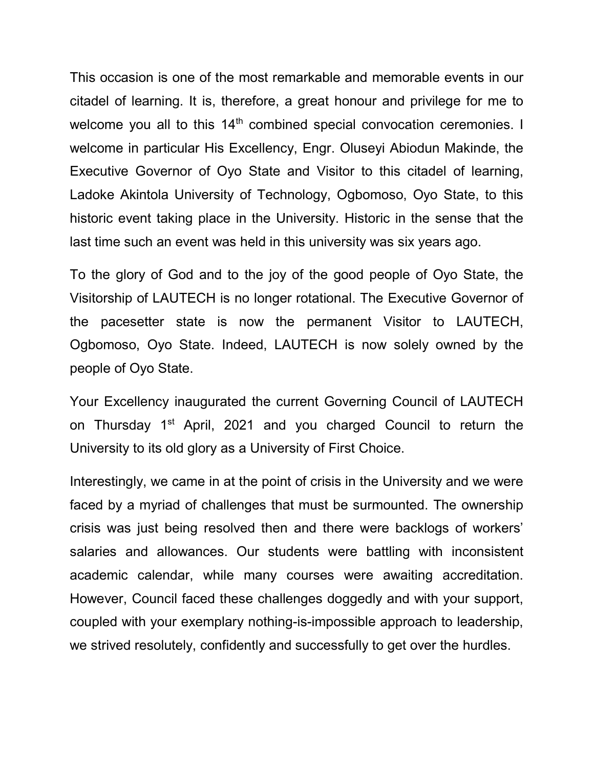This occasion is one of the most remarkable and memorable events in our citadel of learning. It is, therefore, a great honour and privilege for me to welcome you all to this 14<sup>th</sup> combined special convocation ceremonies. I welcome in particular His Excellency, Engr. Oluseyi Abiodun Makinde, the Executive Governor of Oyo State and Visitor to this citadel of learning, Ladoke Akintola University of Technology, Ogbomoso, Oyo State, to this historic event taking place in the University. Historic in the sense that the last time such an event was held in this university was six years ago.

To the glory of God and to the joy of the good people of Oyo State, the Visitorship of LAUTECH is no longer rotational. The Executive Governor of the pacesetter state is now the permanent Visitor to LAUTECH, Ogbomoso, Oyo State. Indeed, LAUTECH is now solely owned by the people of Oyo State.

Your Excellency inaugurated the current Governing Council of LAUTECH on Thursday 1<sup>st</sup> April, 2021 and you charged Council to return the University to its old glory as a University of First Choice.

Interestingly, we came in at the point of crisis in the University and we were faced by a myriad of challenges that must be surmounted. The ownership crisis was just being resolved then and there were backlogs of workers' salaries and allowances. Our students were battling with inconsistent academic calendar, while many courses were awaiting accreditation. However, Council faced these challenges doggedly and with your support, coupled with your exemplary nothing-is-impossible approach to leadership, we strived resolutely, confidently and successfully to get over the hurdles.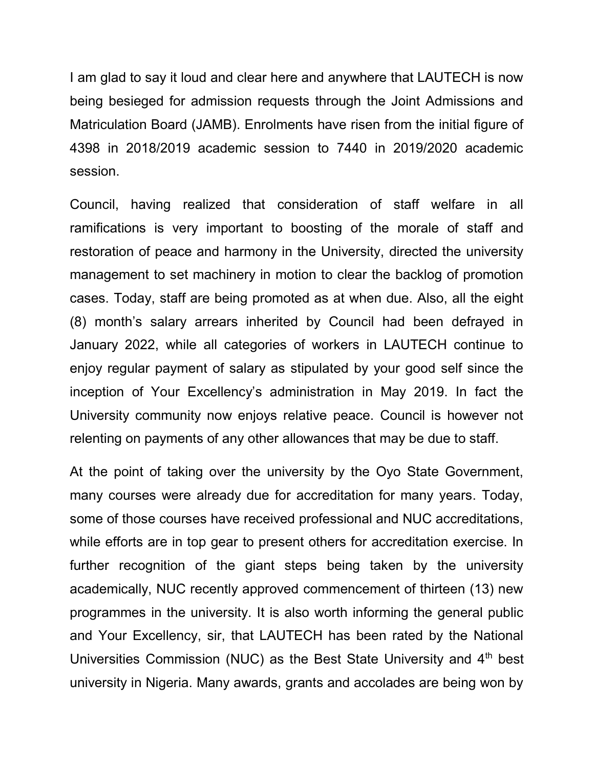I am glad to say it loud and clear here and anywhere that LAUTECH is now being besieged for admission requests through the Joint Admissions and Matriculation Board (JAMB). Enrolments have risen from the initial figure of 4398 in 2018/2019 academic session to 7440 in 2019/2020 academic session.

Council, having realized that consideration of staff welfare in all ramifications is very important to boosting of the morale of staff and restoration of peace and harmony in the University, directed the university management to set machinery in motion to clear the backlog of promotion cases. Today, staff are being promoted as at when due. Also, all the eight (8) month's salary arrears inherited by Council had been defrayed in January 2022, while all categories of workers in LAUTECH continue to enjoy regular payment of salary as stipulated by your good self since the inception of Your Excellency's administration in May 2019. In fact the University community now enjoys relative peace. Council is however not relenting on payments of any other allowances that may be due to staff.

At the point of taking over the university by the Oyo State Government, many courses were already due for accreditation for many years. Today, some of those courses have received professional and NUC accreditations, while efforts are in top gear to present others for accreditation exercise. In further recognition of the giant steps being taken by the university academically, NUC recently approved commencement of thirteen (13) new programmes in the university. It is also worth informing the general public and Your Excellency, sir, that LAUTECH has been rated by the National Universities Commission (NUC) as the Best State University and 4<sup>th</sup> best university in Nigeria. Many awards, grants and accolades are being won by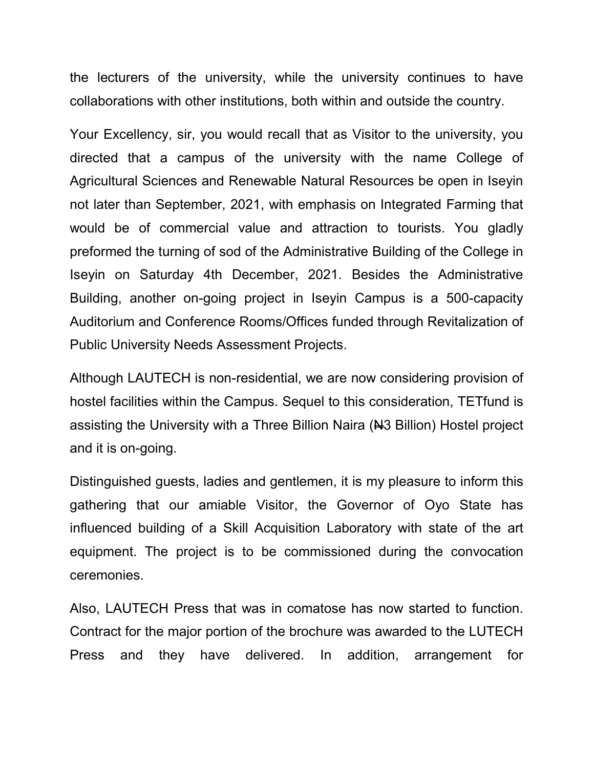the lecturers of the university, while the university continues to have collaborations with other institutions, both within and outside the country.

Your Excellency, sir, you would recall that as Visitor to the university, you directed that a campus of the university with the name College of Agricultural Sciences and Renewable Natural Resources be open in Iseyin not later than September, 2021, with emphasis on Integrated Farming that would be of commercial value and attraction to tourists. You gladly preformed the turning of sod of the Administrative Building of the College in Iseyin on Saturday 4th December, 2021. Besides the Administrative Building, another on-going project in Iseyin Campus is a 500-capacity Auditorium and Conference Rooms/Offices funded through Revitalization of Public University Needs Assessment Projects.

Although LAUTECH is non-residential, we are now considering provision of hostel facilities within the Campus. Sequel to this consideration, TETfund is assisting the University with a Three Billion Naira (No Billion) Hostel project and it is on-going.

Distinguished guests, ladies and gentlemen, it is my pleasure to inform this gathering that our amiable Visitor, the Governor of Oyo State has influenced building of a Skill Acquisition Laboratory with state of the art equipment. The project is to be commissioned during the convocation ceremonies.

Also, LAUTECH Press that was in comatose has now started to function. Contract for the major portion of the brochure was awarded to the LUTECH Press and they have delivered. In addition, arrangement for